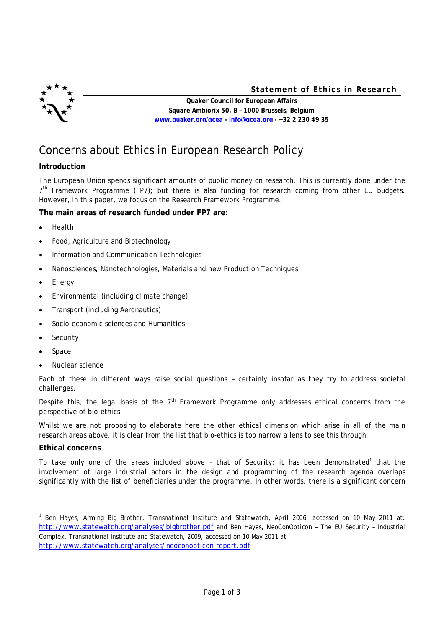

# **Statement of Ethics in Research**

**Quaker Council for European Affairs Square Ambiorix 50, B – 1000 Brussels, Belgium www.quaker.org/qcea - info@qcea.org - +32 2 230 49 35**

# Concerns about Ethics in European Research Policy

# **Introduction**

The European Union spends significant amounts of public money on research. This is currently done under the 7<sup>th</sup> Framework Programme (FP7); but there is also funding for research coming from other EU budgets. However, in this paper, we focus on the Research Framework Programme.

## **The main areas of research funded under FP7 are:**

- Health
- Food, Agriculture and Biotechnology
- Information and Communication Technologies
- Nanosciences, Nanotechnologies, Materials and new Production Techniques
- Energy
- Environmental (including climate change)
- Transport (including Aeronautics)
- Socio-economic sciences and Humanities
- Security
- Space
- Nuclear science

Each of these in different ways raise social questions – certainly insofar as they try to address societal challenges.

Despite this, the legal basis of the  $7<sup>th</sup>$  Framework Programme only addresses ethical concerns from the perspective of bio-ethics.

Whilst we are not proposing to elaborate here the other ethical dimension which arise in all of the main research areas above, it is clear from the list that bio-ethics is too narrow a lens to see this through.

### **Ethical concerns**

 $\overline{a}$ 

To take only one of the areas included above - that of Security: it has been demonstrated<sup>1</sup> that the involvement of large industrial actors in the design and programming of the research agenda overlaps significantly with the list of beneficiaries under the programme. In other words, there is a significant concern

<sup>&</sup>lt;sup>1</sup> Ben Hayes, Arming Big Brother, Transnational Institute and Statewatch, April 2006, accessed on 10 May 2011 at: http://www.statewatch.org/analyses/bigbrother.pdf and Ben Hayes, NeoConOpticon – The EU Security – Industrial Complex, Transnational Institute and Statewatch, 2009, accessed on 10 May 2011 at: http://www.statewatch.org/analyses/neoconopticon-report.pdf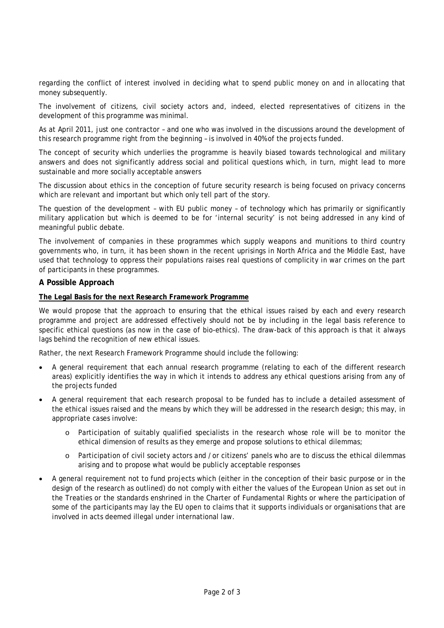regarding the conflict of interest involved in deciding what to spend public money on and in allocating that money subsequently.

The involvement of citizens, civil society actors and, indeed, elected representatives of citizens in the development of this programme was minimal.

As at April 2011, just one contractor – and one who was involved in the discussions around the development of this research programme right from the beginning – is involved in 40% of the projects funded.

The concept of security which underlies the programme is heavily biased towards technological and military answers and does not significantly address social and political questions which, in turn, might lead to more sustainable and more socially acceptable answers

The discussion about ethics in the conception of future security research is being focused on privacy concerns which are relevant and important but which only tell part of the story.

The question of the development – with EU public money – of technology which has primarily or significantly military application but which is deemed to be for 'internal security' is not being addressed in any kind of meaningful public debate.

The involvement of companies in these programmes which supply weapons and munitions to third country governments who, in turn, it has been shown in the recent uprisings in North Africa and the Middle East, have used that technology to oppress their populations raises real questions of complicity in war crimes on the part of participants in these programmes.

### **A Possible Approach**

### **The Legal Basis for the next Research Framework Programme**

We would propose that the approach to ensuring that the ethical issues raised by each and every research programme and project are addressed effectively should not be by including in the legal basis reference to specific ethical questions (as now in the case of bio-ethics). The draw-back of this approach is that it always lags behind the recognition of new ethical issues.

Rather, the next Research Framework Programme should include the following:

- A general requirement that each annual research programme (relating to each of the different research areas) explicitly identifies the way in which it intends to address any ethical questions arising from any of the projects funded
- A general requirement that each research proposal to be funded has to include a detailed assessment of the ethical issues raised and the means by which they will be addressed in the research design; this may, in appropriate cases involve:
	- o Participation of suitably qualified specialists in the research whose role will be to monitor the ethical dimension of results as they emerge and propose solutions to ethical dilemmas;
	- o Participation of civil society actors and /or citizens' panels who are to discuss the ethical dilemmas arising and to propose what would be publicly acceptable responses
- A general requirement not to fund projects which (either in the conception of their basic purpose or in the design of the research as outlined) do not comply with either the values of the European Union as set out in the Treaties or the standards enshrined in the Charter of Fundamental Rights or where the participation of some of the participants may lay the EU open to claims that it supports individuals or organisations that are involved in acts deemed illegal under international law.